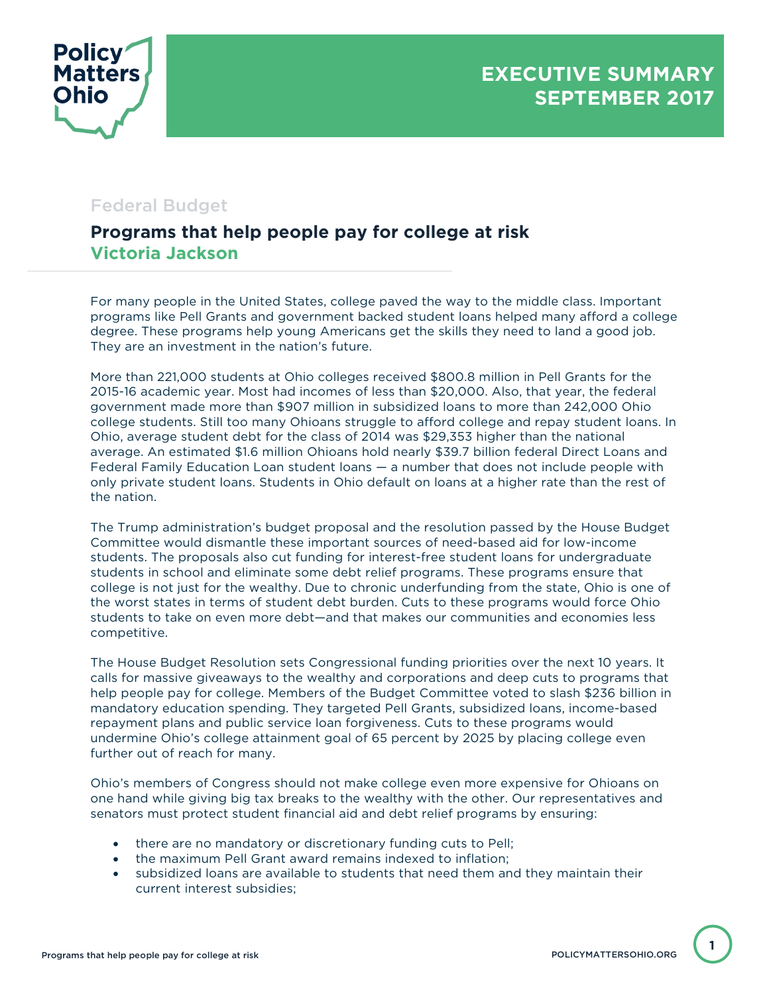

## Federal Budget

## **Programs that help people pay for college at risk Victoria Jackson**

For many people in the United States, college paved the way to the middle class. Important programs like Pell Grants and government backed student loans helped many afford a college degree. These programs help young Americans get the skills they need to land a good job. They are an investment in the nation's future.

More than 221,000 students at Ohio colleges received \$800.8 million in Pell Grants for the 2015-16 academic year. Most had incomes of less than \$20,000. Also, that year, the federal government made more than \$907 million in subsidized loans to more than 242,000 Ohio college students. Still too many Ohioans struggle to afford college and repay student loans. In Ohio, average student debt for the class of 2014 was \$29,353 higher than the national average. An estimated \$1.6 million Ohioans hold nearly \$39.7 billion federal Direct Loans and Federal Family Education Loan student loans — a number that does not include people with only private student loans. Students in Ohio default on loans at a higher rate than the rest of the nation.

The Trump administration's budget proposal and the resolution passed by the House Budget Committee would dismantle these important sources of need-based aid for low-income students. The proposals also cut funding for interest-free student loans for undergraduate students in school and eliminate some debt relief programs. These programs ensure that college is not just for the wealthy. Due to chronic underfunding from the state, Ohio is one of the worst states in terms of student debt burden. Cuts to these programs would force Ohio students to take on even more debt—and that makes our communities and economies less competitive.

The House Budget Resolution sets Congressional funding priorities over the next 10 years. It calls for massive giveaways to the wealthy and corporations and deep cuts to programs that help people pay for college. Members of the Budget Committee voted to slash \$236 billion in mandatory education spending. They targeted Pell Grants, subsidized loans, income-based repayment plans and public service loan forgiveness. Cuts to these programs would undermine Ohio's college attainment goal of 65 percent by 2025 by placing college even further out of reach for many.

Ohio's members of Congress should not make college even more expensive for Ohioans on one hand while giving big tax breaks to the wealthy with the other. Our representatives and senators must protect student financial aid and debt relief programs by ensuring:

- there are no mandatory or discretionary funding cuts to Pell;
- the maximum Pell Grant award remains indexed to inflation;
- subsidized loans are available to students that need them and they maintain their current interest subsidies;